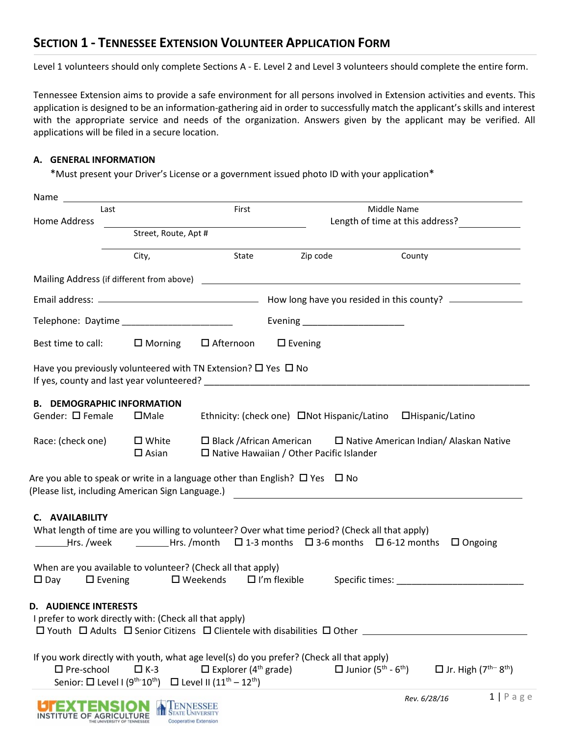## **SECTION 1 - TENNESSEE EXTENSION VOLUNTEER APPLICATION FORM**

Level 1 volunteers should only complete Sections A - E. Level 2 and Level 3 volunteers should complete the entire form.

Tennessee Extension aims to provide a safe environment for all persons involved in Extension activities and events. This application is designed to be an information-gathering aid in order to successfully match the applicant's skills and interest with the appropriate service and needs of the organization. Answers given by the applicant may be verified. All applications will be filed in a secure location.

## **A. GENERAL INFORMATION**

**ISTITUTE OF AGRICULTURE** 

Cooperative Extension

\*Must present your Driver's License or a government issued photo ID with your application\*

| Last                                                                                           |                                    | First                                                                                     |                                                                                                                                                                                                                               | Middle Name                                        |                                                   |                    |
|------------------------------------------------------------------------------------------------|------------------------------------|-------------------------------------------------------------------------------------------|-------------------------------------------------------------------------------------------------------------------------------------------------------------------------------------------------------------------------------|----------------------------------------------------|---------------------------------------------------|--------------------|
| Home Address<br>Street, Route, Apt #                                                           |                                    | the control of the control of the control of the control of                               |                                                                                                                                                                                                                               |                                                    |                                                   |                    |
|                                                                                                | City,                              | State                                                                                     | Zip code                                                                                                                                                                                                                      | County                                             |                                                   |                    |
|                                                                                                |                                    |                                                                                           |                                                                                                                                                                                                                               |                                                    |                                                   |                    |
|                                                                                                |                                    |                                                                                           |                                                                                                                                                                                                                               |                                                    |                                                   |                    |
|                                                                                                |                                    |                                                                                           | Evening _______________________                                                                                                                                                                                               |                                                    |                                                   |                    |
| Best time to call: $\Box$ Morning                                                              |                                    | $\Box$ Afternoon $\Box$ Evening                                                           |                                                                                                                                                                                                                               |                                                    |                                                   |                    |
| Have you previously volunteered with TN Extension? □ Yes □ No                                  |                                    |                                                                                           | If yes, county and last year volunteered? The contract of the contract of the contract of the contract of the contract of the contract of the contract of the contract of the contract of the contract of the contract of the |                                                    |                                                   |                    |
| <b>B. DEMOGRAPHIC INFORMATION</b><br>Gender: $\square$ Female                                  | $\square$ Male                     |                                                                                           | Ethnicity: (check one) ONot Hispanic/Latino OHispanic/Latino                                                                                                                                                                  |                                                    |                                                   |                    |
| Race: (check one)                                                                              | $\square$ White<br>$\square$ Asian |                                                                                           | $\Box$ Black /African American $\Box$ Native American Indian/ Alaskan Native<br>$\square$ Native Hawaiian / Other Pacific Islander                                                                                            |                                                    |                                                   |                    |
|                                                                                                |                                    |                                                                                           | Are you able to speak or write in a language other than English? $\Box$ Yes $\Box$ No                                                                                                                                         |                                                    |                                                   |                    |
| C. AVAILABILITY                                                                                |                                    |                                                                                           | What length of time are you willing to volunteer? Over what time period? (Check all that apply)<br>________Hrs. /week    ________Hrs. /month   □ 1-3 months   □ 3-6 months   □ 6-12 months   □ Ongoing                        |                                                    |                                                   |                    |
| When are you available to volunteer? (Check all that apply)<br>$\Box$ Evening<br>$\square$ Day |                                    | $\Box$ Weekends $\Box$ I'm flexible                                                       |                                                                                                                                                                                                                               |                                                    |                                                   |                    |
| <b>AUDIENCE INTERESTS</b><br>D<br>I prefer to work directly with: (Check all that apply)       |                                    |                                                                                           |                                                                                                                                                                                                                               |                                                    |                                                   |                    |
| $\square$ Pre-school<br>Senior: $\square$ Level I (9 <sup>th-</sup> 10 <sup>th</sup> )         | $\Box K-3$                         | $\Box$ Explorer (4 <sup>th</sup> grade)<br>□ Level II $(11^{\text{th}} - 12^{\text{th}})$ | If you work directly with youth, what age level(s) do you prefer? (Check all that apply)                                                                                                                                      | $\Box$ Junior (5 <sup>th</sup> - 6 <sup>th</sup> ) | $\Box$ Jr. High ( $7^{\text{th}-8^{\text{th}}}$ ) |                    |
|                                                                                                |                                    | <b>TENNESSEE</b><br>State University                                                      |                                                                                                                                                                                                                               |                                                    | Rev. 6/28/16                                      | $1   P \text{age}$ |